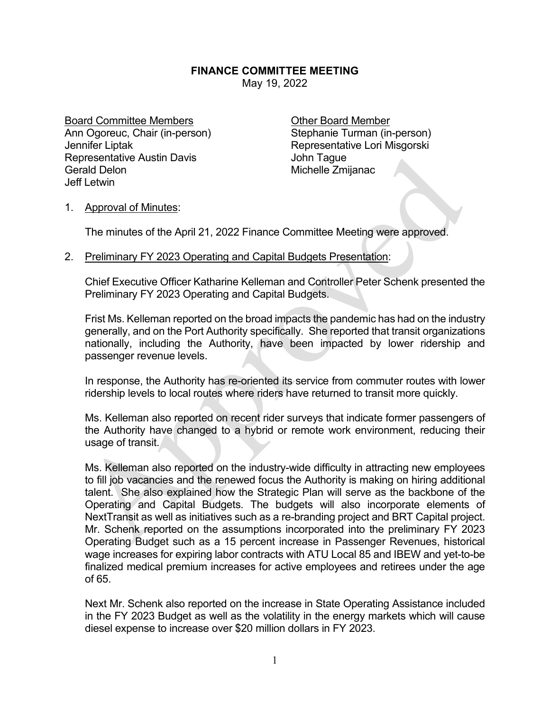## **FINANCE COMMITTEE MEETING**

May 19, 2022

Board Committee Members **Committee Members** Committee Member Ann Ogoreuc, Chair (in-person) Stephanie Turman (in-person) Jennifer Liptak Representative Lori Misgorski Representative Austin Davis **Francisco Exercise Solution** John Tague Gerald Delon **Michelle Zmijanac** Jeff Letwin

## 1. Approval of Minutes:

The minutes of the April 21, 2022 Finance Committee Meeting were approved.

## 2. Preliminary FY 2023 Operating and Capital Budgets Presentation:

Chief Executive Officer Katharine Kelleman and Controller Peter Schenk presented the Preliminary FY 2023 Operating and Capital Budgets.

Frist Ms. Kelleman reported on the broad impacts the pandemic has had on the industry generally, and on the Port Authority specifically. She reported that transit organizations nationally, including the Authority, have been impacted by lower ridership and passenger revenue levels.

In response, the Authority has re-oriented its service from commuter routes with lower ridership levels to local routes where riders have returned to transit more quickly.

Ms. Kelleman also reported on recent rider surveys that indicate former passengers of the Authority have changed to a hybrid or remote work environment, reducing their usage of transit.

Ms. Kelleman also reported on the industry-wide difficulty in attracting new employees to fill job vacancies and the renewed focus the Authority is making on hiring additional talent. She also explained how the Strategic Plan will serve as the backbone of the Operating and Capital Budgets. The budgets will also incorporate elements of NextTransit as well as initiatives such as a re-branding project and BRT Capital project. Mr. Schenk reported on the assumptions incorporated into the preliminary FY 2023 Operating Budget such as a 15 percent increase in Passenger Revenues, historical wage increases for expiring labor contracts with ATU Local 85 and IBEW and yet-to-be finalized medical premium increases for active employees and retirees under the age of 65.

Next Mr. Schenk also reported on the increase in State Operating Assistance included in the FY 2023 Budget as well as the volatility in the energy markets which will cause diesel expense to increase over \$20 million dollars in FY 2023.